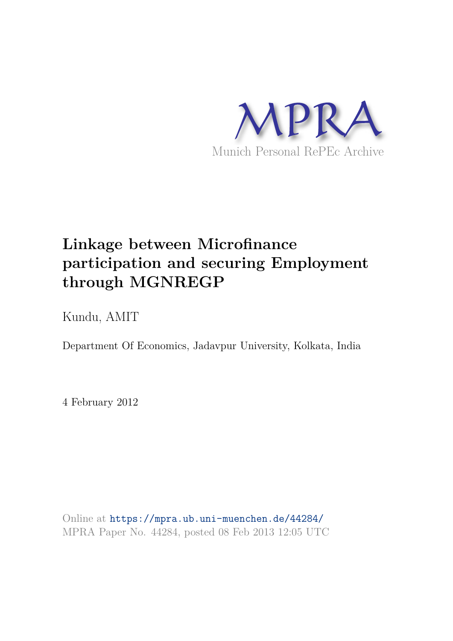

# **Linkage between Microfinance participation and securing Employment through MGNREGP**

Kundu, AMIT

Department Of Economics, Jadavpur University, Kolkata, India

4 February 2012

Online at https://mpra.ub.uni-muenchen.de/44284/ MPRA Paper No. 44284, posted 08 Feb 2013 12:05 UTC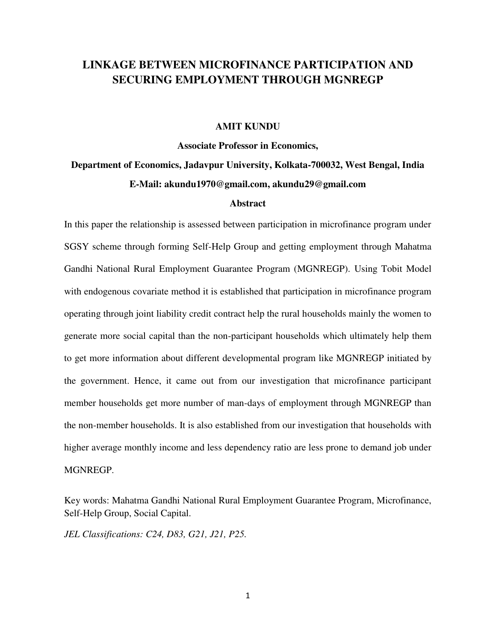## **LINKAGE BETWEEN MICROFINANCE PARTICIPATION AND SECURING EMPLOYMENT THROUGH MGNREGP**

#### **AMIT KUNDU**

## **Associate Professor in Economics, Department of Economics, Jadavpur University, Kolkata-700032, West Bengal, India E-Mail: [akundu1970@gmail.com,](mailto:akundu1970@gmail.com) akundu29@gmail.com**

#### **Abstract**

In this paper the relationship is assessed between participation in microfinance program under SGSY scheme through forming Self-Help Group and getting employment through Mahatma Gandhi National Rural Employment Guarantee Program (MGNREGP). Using Tobit Model with endogenous covariate method it is established that participation in microfinance program operating through joint liability credit contract help the rural households mainly the women to generate more social capital than the non-participant households which ultimately help them to get more information about different developmental program like MGNREGP initiated by the government. Hence, it came out from our investigation that microfinance participant member households get more number of man-days of employment through MGNREGP than the non-member households. It is also established from our investigation that households with higher average monthly income and less dependency ratio are less prone to demand job under MGNREGP.

Key words: Mahatma Gandhi National Rural Employment Guarantee Program, Microfinance, Self-Help Group, Social Capital.

*JEL Classifications: C24, D83, G21, J21, P25.*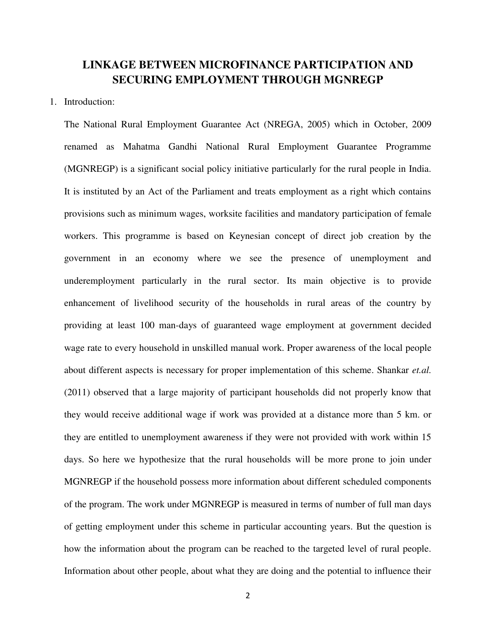### **LINKAGE BETWEEN MICROFINANCE PARTICIPATION AND SECURING EMPLOYMENT THROUGH MGNREGP**

#### 1. Introduction:

The National Rural Employment Guarantee Act (NREGA, 2005) which in October, 2009 renamed as Mahatma Gandhi National Rural Employment Guarantee Programme (MGNREGP) is a significant social policy initiative particularly for the rural people in India. It is instituted by an Act of the Parliament and treats employment as a right which contains provisions such as minimum wages, worksite facilities and mandatory participation of female workers. This programme is based on Keynesian concept of direct job creation by the government in an economy where we see the presence of unemployment and underemployment particularly in the rural sector. Its main objective is to provide enhancement of livelihood security of the households in rural areas of the country by providing at least 100 man-days of guaranteed wage employment at government decided wage rate to every household in unskilled manual work. Proper awareness of the local people about different aspects is necessary for proper implementation of this scheme. Shankar *et.al.* (2011) observed that a large majority of participant households did not properly know that they would receive additional wage if work was provided at a distance more than 5 km. or they are entitled to unemployment awareness if they were not provided with work within 15 days. So here we hypothesize that the rural households will be more prone to join under MGNREGP if the household possess more information about different scheduled components of the program. The work under MGNREGP is measured in terms of number of full man days of getting employment under this scheme in particular accounting years. But the question is how the information about the program can be reached to the targeted level of rural people. Information about other people, about what they are doing and the potential to influence their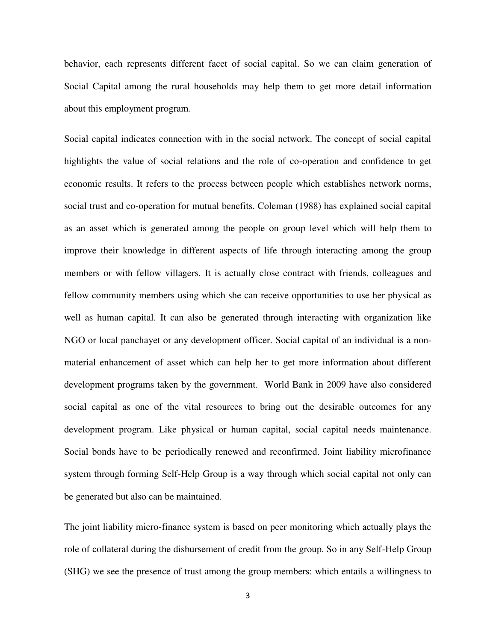behavior, each represents different facet of social capital. So we can claim generation of Social Capital among the rural households may help them to get more detail information about this employment program.

Social capital indicates connection with in the social network. The concept of social capital highlights the value of social relations and the role of co-operation and confidence to get economic results. It refers to the process between people which establishes network norms, social trust and co-operation for mutual benefits. Coleman (1988) has explained social capital as an asset which is generated among the people on group level which will help them to improve their knowledge in different aspects of life through interacting among the group members or with fellow villagers. It is actually close contract with friends, colleagues and fellow community members using which she can receive opportunities to use her physical as well as human capital. It can also be generated through interacting with organization like NGO or local panchayet or any development officer. Social capital of an individual is a nonmaterial enhancement of asset which can help her to get more information about different development programs taken by the government. World Bank in 2009 have also considered social capital as one of the vital resources to bring out the desirable outcomes for any development program. Like physical or human capital, social capital needs maintenance. Social bonds have to be periodically renewed and reconfirmed. Joint liability microfinance system through forming Self-Help Group is a way through which social capital not only can be generated but also can be maintained.

The joint liability micro-finance system is based on peer monitoring which actually plays the role of collateral during the disbursement of credit from the group. So in any Self-Help Group (SHG) we see the presence of trust among the group members: which entails a willingness to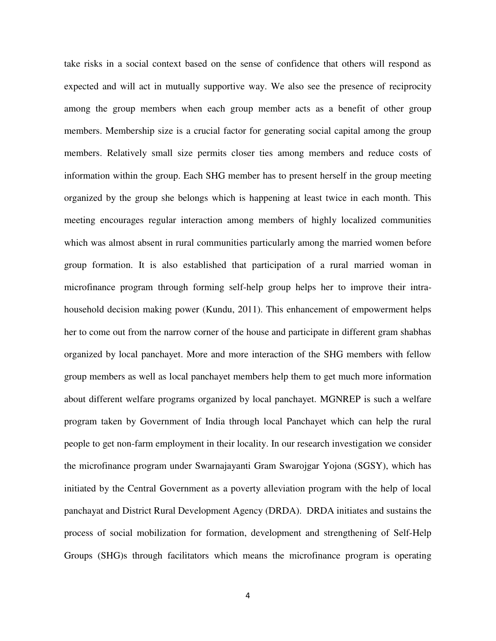take risks in a social context based on the sense of confidence that others will respond as expected and will act in mutually supportive way. We also see the presence of reciprocity among the group members when each group member acts as a benefit of other group members. Membership size is a crucial factor for generating social capital among the group members. Relatively small size permits closer ties among members and reduce costs of information within the group. Each SHG member has to present herself in the group meeting organized by the group she belongs which is happening at least twice in each month. This meeting encourages regular interaction among members of highly localized communities which was almost absent in rural communities particularly among the married women before group formation. It is also established that participation of a rural married woman in microfinance program through forming self-help group helps her to improve their intrahousehold decision making power (Kundu, 2011). This enhancement of empowerment helps her to come out from the narrow corner of the house and participate in different gram shabhas organized by local panchayet. More and more interaction of the SHG members with fellow group members as well as local panchayet members help them to get much more information about different welfare programs organized by local panchayet. MGNREP is such a welfare program taken by Government of India through local Panchayet which can help the rural people to get non-farm employment in their locality. In our research investigation we consider the microfinance program under Swarnajayanti Gram Swarojgar Yojona (SGSY), which has initiated by the Central Government as a poverty alleviation program with the help of local panchayat and District Rural Development Agency (DRDA). DRDA initiates and sustains the process of social mobilization for formation, development and strengthening of Self-Help Groups (SHG)s through facilitators which means the microfinance program is operating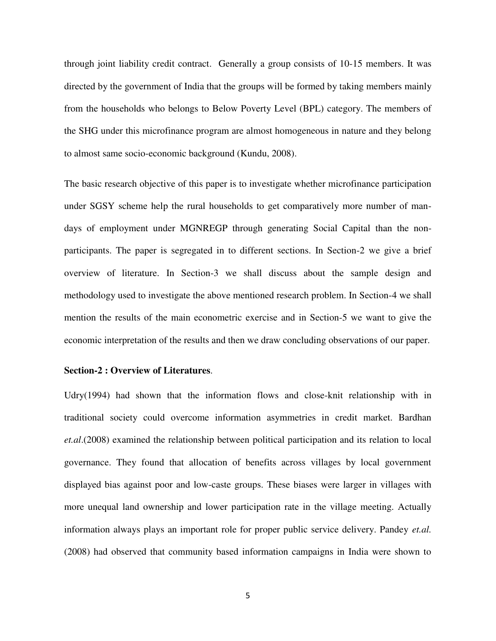through joint liability credit contract. Generally a group consists of 10-15 members. It was directed by the government of India that the groups will be formed by taking members mainly from the households who belongs to Below Poverty Level (BPL) category. The members of the SHG under this microfinance program are almost homogeneous in nature and they belong to almost same socio-economic background (Kundu, 2008).

The basic research objective of this paper is to investigate whether microfinance participation under SGSY scheme help the rural households to get comparatively more number of mandays of employment under MGNREGP through generating Social Capital than the nonparticipants. The paper is segregated in to different sections. In Section-2 we give a brief overview of literature. In Section-3 we shall discuss about the sample design and methodology used to investigate the above mentioned research problem. In Section-4 we shall mention the results of the main econometric exercise and in Section-5 we want to give the economic interpretation of the results and then we draw concluding observations of our paper.

#### **Section-2 : Overview of Literatures**.

Udry(1994) had shown that the information flows and close-knit relationship with in traditional society could overcome information asymmetries in credit market. Bardhan *et.al*.(2008) examined the relationship between political participation and its relation to local governance. They found that allocation of benefits across villages by local government displayed bias against poor and low-caste groups. These biases were larger in villages with more unequal land ownership and lower participation rate in the village meeting. Actually information always plays an important role for proper public service delivery. Pandey *et.al.* (2008) had observed that community based information campaigns in India were shown to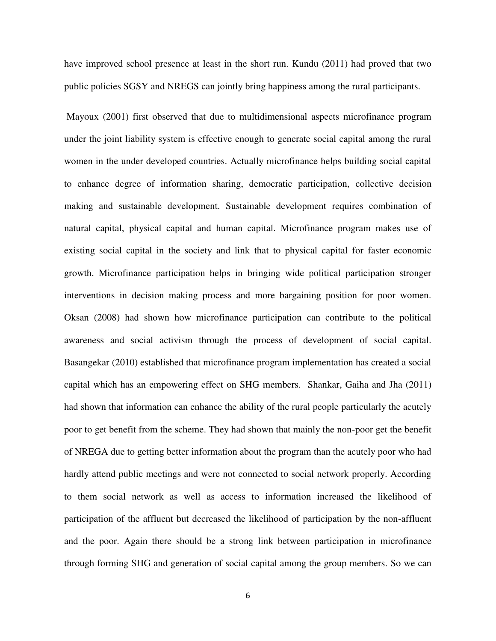have improved school presence at least in the short run. Kundu (2011) had proved that two public policies SGSY and NREGS can jointly bring happiness among the rural participants.

 Mayoux (2001) first observed that due to multidimensional aspects microfinance program under the joint liability system is effective enough to generate social capital among the rural women in the under developed countries. Actually microfinance helps building social capital to enhance degree of information sharing, democratic participation, collective decision making and sustainable development. Sustainable development requires combination of natural capital, physical capital and human capital. Microfinance program makes use of existing social capital in the society and link that to physical capital for faster economic growth. Microfinance participation helps in bringing wide political participation stronger interventions in decision making process and more bargaining position for poor women. Oksan (2008) had shown how microfinance participation can contribute to the political awareness and social activism through the process of development of social capital. Basangekar (2010) established that microfinance program implementation has created a social capital which has an empowering effect on SHG members. Shankar, Gaiha and Jha (2011) had shown that information can enhance the ability of the rural people particularly the acutely poor to get benefit from the scheme. They had shown that mainly the non-poor get the benefit of NREGA due to getting better information about the program than the acutely poor who had hardly attend public meetings and were not connected to social network properly. According to them social network as well as access to information increased the likelihood of participation of the affluent but decreased the likelihood of participation by the non-affluent and the poor. Again there should be a strong link between participation in microfinance through forming SHG and generation of social capital among the group members. So we can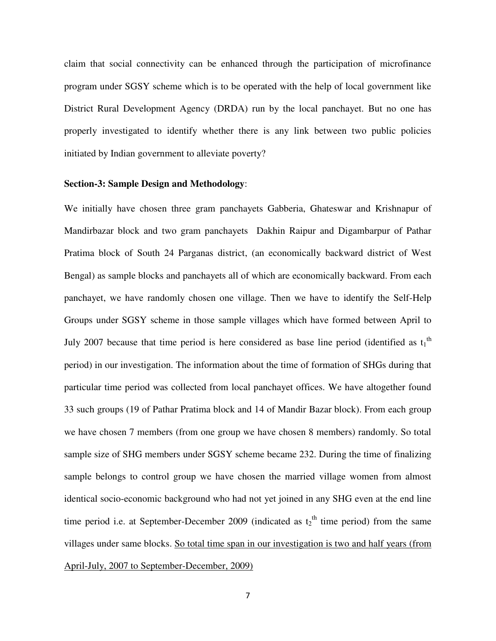claim that social connectivity can be enhanced through the participation of microfinance program under SGSY scheme which is to be operated with the help of local government like District Rural Development Agency (DRDA) run by the local panchayet. But no one has properly investigated to identify whether there is any link between two public policies initiated by Indian government to alleviate poverty?

#### **Section-3: Sample Design and Methodology**:

We initially have chosen three gram panchayets Gabberia, Ghateswar and Krishnapur of Mandirbazar block and two gram panchayets Dakhin Raipur and Digambarpur of Pathar Pratima block of South 24 Parganas district, (an economically backward district of West Bengal) as sample blocks and panchayets all of which are economically backward. From each panchayet, we have randomly chosen one village. Then we have to identify the Self-Help Groups under SGSY scheme in those sample villages which have formed between April to July 2007 because that time period is here considered as base line period (identified as  $t_1$ <sup>th</sup> period) in our investigation. The information about the time of formation of SHGs during that particular time period was collected from local panchayet offices. We have altogether found 33 such groups (19 of Pathar Pratima block and 14 of Mandir Bazar block). From each group we have chosen 7 members (from one group we have chosen 8 members) randomly. So total sample size of SHG members under SGSY scheme became 232. During the time of finalizing sample belongs to control group we have chosen the married village women from almost identical socio-economic background who had not yet joined in any SHG even at the end line time period i.e. at September-December 2009 (indicated as  $t_2$ <sup>th</sup> time period) from the same villages under same blocks. So total time span in our investigation is two and half years (from April-July, 2007 to September-December, 2009)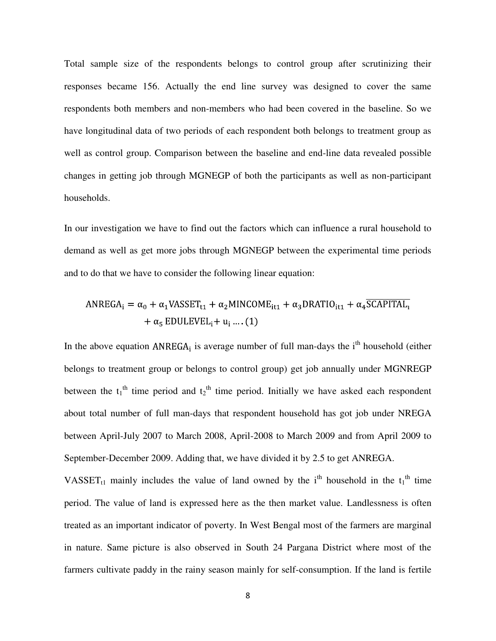Total sample size of the respondents belongs to control group after scrutinizing their responses became 156. Actually the end line survey was designed to cover the same respondents both members and non-members who had been covered in the baseline. So we have longitudinal data of two periods of each respondent both belongs to treatment group as well as control group. Comparison between the baseline and end-line data revealed possible changes in getting job through MGNEGP of both the participants as well as non-participant households.

In our investigation we have to find out the factors which can influence a rural household to demand as well as get more jobs through MGNEGP between the experimental time periods and to do that we have to consider the following linear equation:

$$
ANREGA_i = \alpha_0 + \alpha_1 VASSET_{t1} + \alpha_2 MINCOME_{it1} + \alpha_3 DRATIO_{it1} + \alpha_4 \overline{SCAPITAL}_t
$$

$$
+ \alpha_5 EDULEVEL_i + u_i ... (1)
$$

In the above equation  $ANREGA_i$  is average number of full man-days the i<sup>th</sup> household (either belongs to treatment group or belongs to control group) get job annually under MGNREGP between the  $t_1$ <sup>th</sup> time period and  $t_2$ <sup>th</sup> time period. Initially we have asked each respondent about total number of full man-days that respondent household has got job under NREGA between April-July 2007 to March 2008, April-2008 to March 2009 and from April 2009 to September-December 2009. Adding that, we have divided it by 2.5 to get ANREGA.

VASSET<sub>t1</sub> mainly includes the value of land owned by the i<sup>th</sup> household in the  $t_1$ <sup>th</sup> time period. The value of land is expressed here as the then market value. Landlessness is often treated as an important indicator of poverty. In West Bengal most of the farmers are marginal in nature. Same picture is also observed in South 24 Pargana District where most of the farmers cultivate paddy in the rainy season mainly for self-consumption. If the land is fertile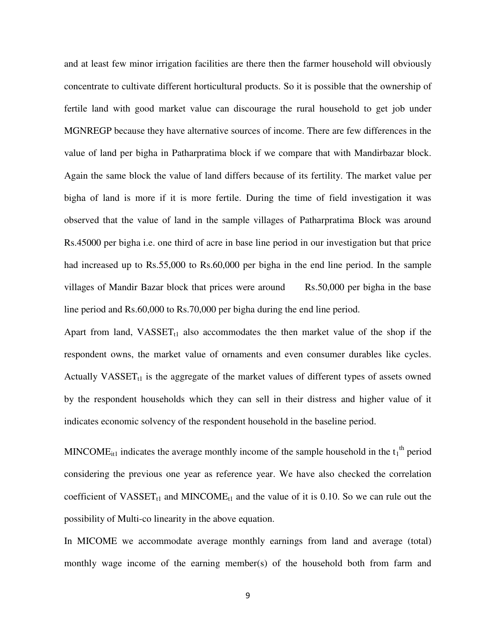and at least few minor irrigation facilities are there then the farmer household will obviously concentrate to cultivate different horticultural products. So it is possible that the ownership of fertile land with good market value can discourage the rural household to get job under MGNREGP because they have alternative sources of income. There are few differences in the value of land per bigha in Patharpratima block if we compare that with Mandirbazar block. Again the same block the value of land differs because of its fertility. The market value per bigha of land is more if it is more fertile. During the time of field investigation it was observed that the value of land in the sample villages of Patharpratima Block was around Rs.45000 per bigha i.e. one third of acre in base line period in our investigation but that price had increased up to Rs.55,000 to Rs.60,000 per bigha in the end line period. In the sample villages of Mandir Bazar block that prices were around Rs.50,000 per bigha in the base line period and Rs.60,000 to Rs.70,000 per bigha during the end line period.

Apart from land,  $VASSET_{t1}$  also accommodates the then market value of the shop if the respondent owns, the market value of ornaments and even consumer durables like cycles. Actually VASSET $_{t1}$  is the aggregate of the market values of different types of assets owned by the respondent households which they can sell in their distress and higher value of it indicates economic solvency of the respondent household in the baseline period.

MINCOME<sub>it1</sub> indicates the average monthly income of the sample household in the  $t_1$ <sup>th</sup> period considering the previous one year as reference year. We have also checked the correlation coefficient of VASSET<sub>t1</sub> and MINCOME<sub>t1</sub> and the value of it is 0.10. So we can rule out the possibility of Multi-co linearity in the above equation.

In MICOME we accommodate average monthly earnings from land and average (total) monthly wage income of the earning member(s) of the household both from farm and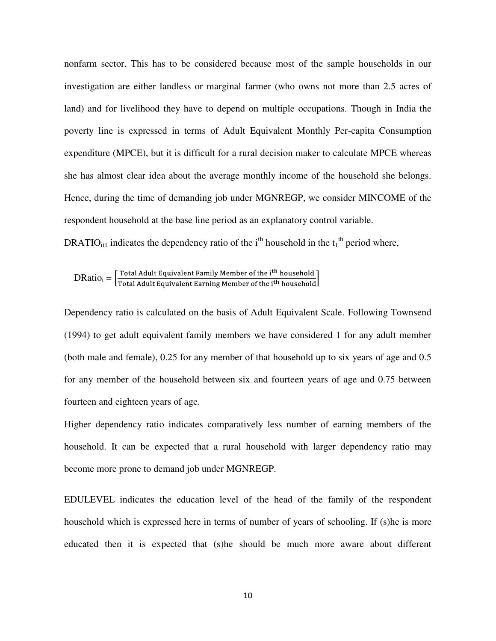nonfarm sector. This has to be considered because most of the sample households in our investigation are either landless or marginal farmer (who owns not more than 2.5 acres of land) and for livelihood they have to depend on multiple occupations. Though in India the poverty line is expressed in terms of Adult Equivalent Monthly Per-capita Consumption expenditure (MPCE), but it is difficult for a rural decision maker to calculate MPCE whereas she has almost clear idea about the average monthly income of the household she belongs. Hence, during the time of demanding job under MGNREGP, we consider MINCOME of the respondent household at the base line period as an explanatory control variable.

DRATIO<sub>it1</sub> indicates the dependency ratio of the i<sup>th</sup> household in the  $t_1$ <sup>th</sup> period where,

 $\text{DRatio}_i = \left[ \frac{\text{Total Adult Equivalent Family Member of the i}^{\text{th} \text{ household}}}{\text{Total Adult Equivalent Learning Member of the i}^{\text{th} \text{ household}}} \right]$ 

Dependency ratio is calculated on the basis of Adult Equivalent Scale. Following Townsend (1994) to get adult equivalent family members we have considered 1 for any adult member (both male and female), 0.25 for any member of that household up to six years of age and 0.5 for any member of the household between six and fourteen years of age and 0.75 between fourteen and eighteen years of age.

Higher dependency ratio indicates comparatively less number of earning members of the household. It can be expected that a rural household with larger dependency ratio may become more prone to demand job under MGNREGP.

EDULEVEL indicates the education level of the head of the family of the respondent household which is expressed here in terms of number of years of schooling. If (s)he is more educated then it is expected that (s)he should be much more aware about different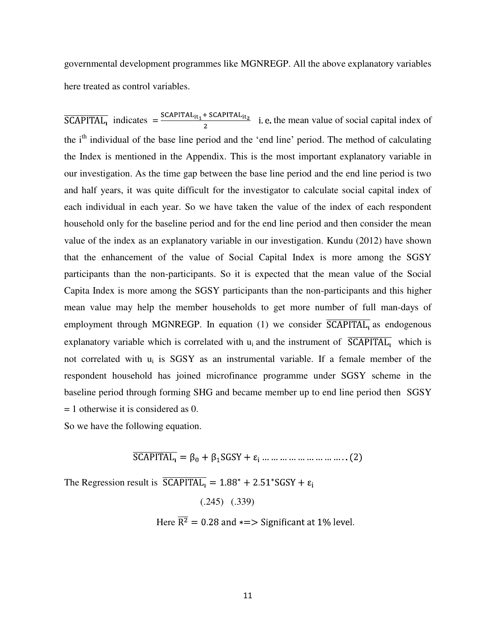governmental development programmes like MGNREGP. All the above explanatory variables here treated as control variables.

 $\overline{SCAPITAL_1}$  indicates  $=\frac{SCAPITAL_{it_1} + SCAPITAL_{it_2}}{2}$  i.e. the mean value of social capital index of the i<sup>th</sup> individual of the base line period and the 'end line' period. The method of calculating the Index is mentioned in the Appendix. This is the most important explanatory variable in our investigation. As the time gap between the base line period and the end line period is two and half years, it was quite difficult for the investigator to calculate social capital index of each individual in each year. So we have taken the value of the index of each respondent household only for the baseline period and for the end line period and then consider the mean value of the index as an explanatory variable in our investigation. Kundu (2012) have shown that the enhancement of the value of Social Capital Index is more among the SGSY participants than the non-participants. So it is expected that the mean value of the Social Capita Index is more among the SGSY participants than the non-participants and this higher mean value may help the member households to get more number of full man-days of employment through MGNREGP. In equation (1) we consider  $\overline{SCAPITAL_1}$  as endogenous explanatory variable which is correlated with  $u_i$  and the instrument of  $\overline{SCAPITAL_i}$  which is not correlated with  $u_i$  is SGSY as an instrumental variable. If a female member of the respondent household has joined microfinance programme under SGSY scheme in the baseline period through forming SHG and became member up to end line period then SGSY = 1 otherwise it is considered as 0.

So we have the following equation.

 $\overline{SCAPITAL_1} = \beta_0 + \beta_1 SGSY + \varepsilon_i$  ... ... ... ... ... ... ... ... ... (2)

The Regression result is  $\overline{SCAPITAL_1} = 1.88^* + 2.51^*SGSY + \varepsilon_1$ 

(.245) (.339)

Here  $\overline{R^2} = 0.28$  and  $\ast = >$  Significant at 1% level.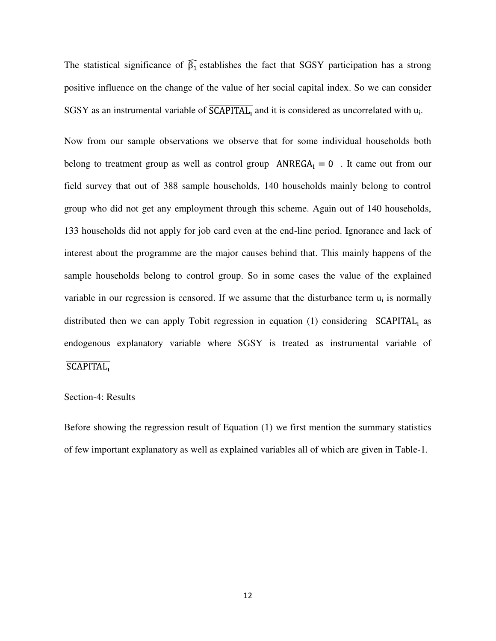The statistical significance of  $\widehat{\beta_1}$  establishes the fact that SGSY participation has a strong positive influence on the change of the value of her social capital index. So we can consider SGSY as an instrumental variable of SCAPITAL, and it is considered as uncorrelated with  $u_i$ .

Now from our sample observations we observe that for some individual households both belong to treatment group as well as control group  $ANREGA_i = 0$ . It came out from our field survey that out of 388 sample households, 140 households mainly belong to control group who did not get any employment through this scheme. Again out of 140 households, 133 households did not apply for job card even at the end-line period. Ignorance and lack of interest about the programme are the major causes behind that. This mainly happens of the sample households belong to control group. So in some cases the value of the explained variable in our regression is censored. If we assume that the disturbance term  $u_i$  is normally distributed then we can apply Tobit regression in equation (1) considering  $\overline{SCAPITAL_1}$  as endogenous explanatory variable where SGSY is treated as instrumental variable of **SCAPITAL** 

#### Section-4: Results

Before showing the regression result of Equation (1) we first mention the summary statistics of few important explanatory as well as explained variables all of which are given in Table-1.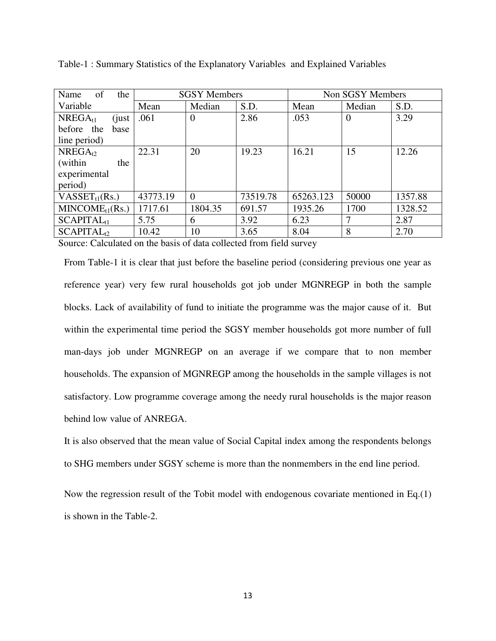| Name<br>of<br>the      | <b>SGSY Members</b> |                |          | Non SGSY Members |          |         |
|------------------------|---------------------|----------------|----------|------------------|----------|---------|
| Variable               | Mean                | Median         | S.D.     | Mean             | Median   | S.D.    |
| $NREGA_{t1}$<br>(just) | .061                | $\overline{0}$ | 2.86     | .053             | $\Omega$ | 3.29    |
| before the<br>base     |                     |                |          |                  |          |         |
| line period)           |                     |                |          |                  |          |         |
| $NREGA_{t2}$           | 22.31               | 20             | 19.23    | 16.21            | 15       | 12.26   |
| (within)<br>the        |                     |                |          |                  |          |         |
| experimental           |                     |                |          |                  |          |         |
| period)                |                     |                |          |                  |          |         |
| $VASSET_{t1}(Rs.)$     | 43773.19            | $\Omega$       | 73519.78 | 65263.123        | 50000    | 1357.88 |
| $MINCODE_{t1}(Rs.)$    | 1717.61             | 1804.35        | 691.57   | 1935.26          | 1700     | 1328.52 |
| SCAPITAL <sub>11</sub> | 5.75                | 6              | 3.92     | 6.23             | 7        | 2.87    |
| SCAPITAL <sub>12</sub> | 10.42               | 10             | 3.65     | 8.04             | 8        | 2.70    |

Table-1 : Summary Statistics of the Explanatory Variables and Explained Variables

Source: Calculated on the basis of data collected from field survey

From Table-1 it is clear that just before the baseline period (considering previous one year as reference year) very few rural households got job under MGNREGP in both the sample blocks. Lack of availability of fund to initiate the programme was the major cause of it. But within the experimental time period the SGSY member households got more number of full man-days job under MGNREGP on an average if we compare that to non member households. The expansion of MGNREGP among the households in the sample villages is not satisfactory. Low programme coverage among the needy rural households is the major reason behind low value of ANREGA.

It is also observed that the mean value of Social Capital index among the respondents belongs to SHG members under SGSY scheme is more than the nonmembers in the end line period.

Now the regression result of the Tobit model with endogenous covariate mentioned in Eq.(1) is shown in the Table-2.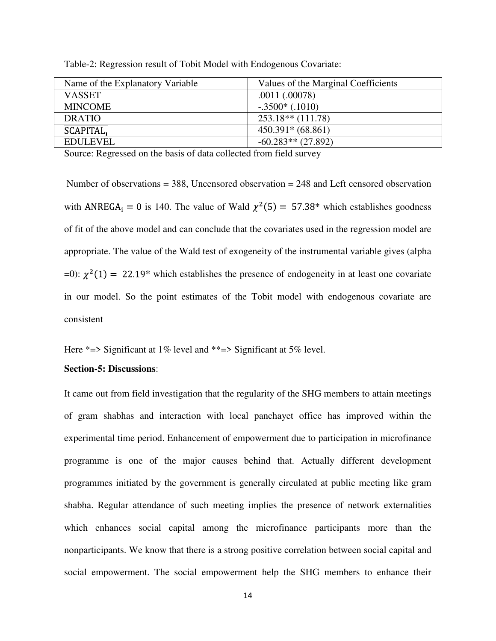| Name of the Explanatory Variable | Values of the Marginal Coefficients |
|----------------------------------|-------------------------------------|
| <b>VASSET</b>                    | .0011(.00078)                       |
| <b>MINCOME</b>                   | $-.3500*(.1010)$                    |
| <b>DRATIO</b>                    | $253.18**$ (111.78)                 |
| <b>SCAPITAL,</b>                 | $450.391*(68.861)$                  |
| <b>EDULEVEL</b>                  | $-60.283**$ (27.892)                |

Table-2: Regression result of Tobit Model with Endogenous Covariate:

Source: Regressed on the basis of data collected from field survey

Number of observations  $=$  388, Uncensored observation  $=$  248 and Left censored observation with ANREGA<sub>i</sub> = 0 is 140. The value of Wald  $\chi^2(5) = 57.38^*$  which establishes goodness of fit of the above model and can conclude that the covariates used in the regression model are appropriate. The value of the Wald test of exogeneity of the instrumental variable gives (alpha =0):  $\chi^2(1) = 22.19*$  which establishes the presence of endogeneity in at least one covariate in our model. So the point estimates of the Tobit model with endogenous covariate are consistent

Here  $*=$  Significant at 1% level and  $**=$  Significant at 5% level.

#### **Section-5: Discussions**:

It came out from field investigation that the regularity of the SHG members to attain meetings of gram shabhas and interaction with local panchayet office has improved within the experimental time period. Enhancement of empowerment due to participation in microfinance programme is one of the major causes behind that. Actually different development programmes initiated by the government is generally circulated at public meeting like gram shabha. Regular attendance of such meeting implies the presence of network externalities which enhances social capital among the microfinance participants more than the nonparticipants. We know that there is a strong positive correlation between social capital and social empowerment. The social empowerment help the SHG members to enhance their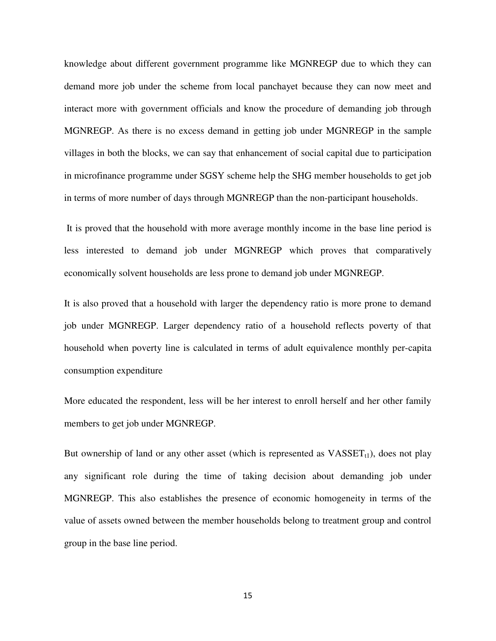knowledge about different government programme like MGNREGP due to which they can demand more job under the scheme from local panchayet because they can now meet and interact more with government officials and know the procedure of demanding job through MGNREGP. As there is no excess demand in getting job under MGNREGP in the sample villages in both the blocks, we can say that enhancement of social capital due to participation in microfinance programme under SGSY scheme help the SHG member households to get job in terms of more number of days through MGNREGP than the non-participant households.

 It is proved that the household with more average monthly income in the base line period is less interested to demand job under MGNREGP which proves that comparatively economically solvent households are less prone to demand job under MGNREGP.

It is also proved that a household with larger the dependency ratio is more prone to demand job under MGNREGP. Larger dependency ratio of a household reflects poverty of that household when poverty line is calculated in terms of adult equivalence monthly per-capita consumption expenditure

More educated the respondent, less will be her interest to enroll herself and her other family members to get job under MGNREGP.

But ownership of land or any other asset (which is represented as  $VASSET_{t1}$ ), does not play any significant role during the time of taking decision about demanding job under MGNREGP. This also establishes the presence of economic homogeneity in terms of the value of assets owned between the member households belong to treatment group and control group in the base line period.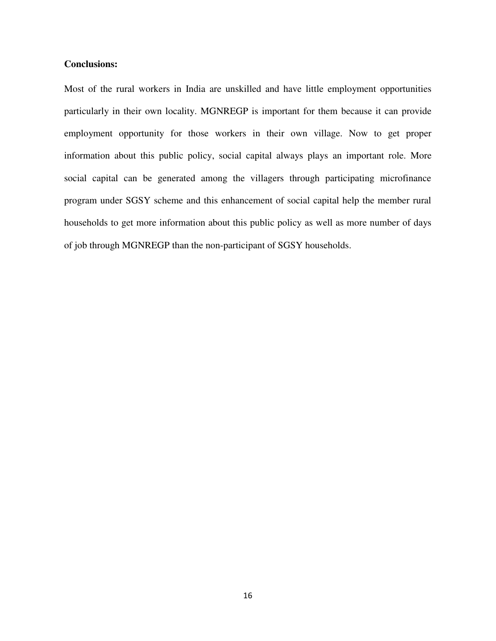#### **Conclusions:**

Most of the rural workers in India are unskilled and have little employment opportunities particularly in their own locality. MGNREGP is important for them because it can provide employment opportunity for those workers in their own village. Now to get proper information about this public policy, social capital always plays an important role. More social capital can be generated among the villagers through participating microfinance program under SGSY scheme and this enhancement of social capital help the member rural households to get more information about this public policy as well as more number of days of job through MGNREGP than the non-participant of SGSY households.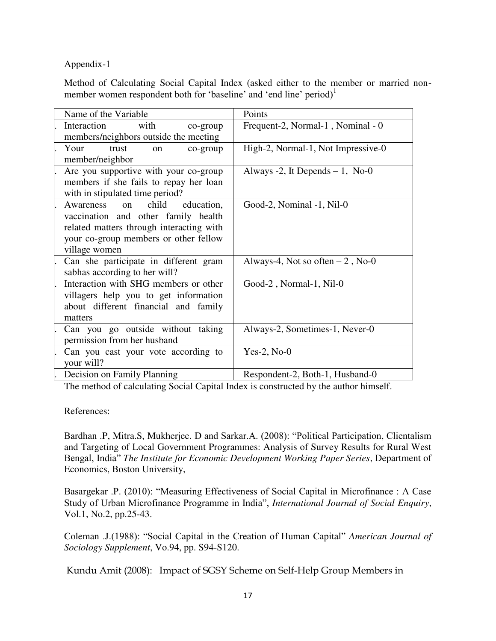#### Appendix-1

Method of Calculating Social Capital Index (asked either to the member or married nonmember women respondent both for 'baseline' and 'end line' period)<sup>1</sup>

| Name of the Variable                         | Points                             |  |  |
|----------------------------------------------|------------------------------------|--|--|
| Interaction<br>with<br>co-group              | Frequent-2, Normal-1, Nominal - 0  |  |  |
| members/neighbors outside the meeting        |                                    |  |  |
| Your<br>trust<br>co-group<br>on              | High-2, Normal-1, Not Impressive-0 |  |  |
| member/neighbor                              |                                    |  |  |
| Are you supportive with your co-group        | Always -2, It Depends $-1$ , No-0  |  |  |
| members if she fails to repay her loan       |                                    |  |  |
| with in stipulated time period?              |                                    |  |  |
| Awareness<br>child<br>education,<br>$\alpha$ | Good-2, Nominal -1, Nil-0          |  |  |
| vaccination and other family health          |                                    |  |  |
| related matters through interacting with     |                                    |  |  |
| your co-group members or other fellow        |                                    |  |  |
| village women                                |                                    |  |  |
| Can she participate in different gram        | Always-4, Not so often $-2$ , No-0 |  |  |
| sabhas according to her will?                |                                    |  |  |
| Interaction with SHG members or other        | Good-2, Normal-1, Nil-0            |  |  |
| villagers help you to get information        |                                    |  |  |
| about different financial and family         |                                    |  |  |
| matters                                      |                                    |  |  |
| Can you go outside without taking            | Always-2, Sometimes-1, Never-0     |  |  |
| permission from her husband                  |                                    |  |  |
| Can you cast your vote according to          | Yes-2, $No-0$                      |  |  |
| your will?                                   |                                    |  |  |
| Decision on Family Planning                  | Respondent-2, Both-1, Husband-0    |  |  |

The method of calculating Social Capital Index is constructed by the author himself.

References:

Bardhan .P, Mitra.S, Mukherjee. D and Sarkar.A. (2008): "Political Participation, Clientalism and Targeting of Local Government Programmes: Analysis of Survey Results for Rural West Bengal, India" *The Institute for Economic Development Working Paper Series*, Department of Economics, Boston University,

Basargekar .P. (2010): "Measuring Effectiveness of Social Capital in Microfinance : A Case Study of Urban Microfinance Programme in India", *International Journal of Social Enquiry*, Vol.1, No.2, pp.25-43.

Coleman .J.(1988): "Social Capital in the Creation of Human Capital" *American Journal of Sociology Supplement*, Vo.94, pp. S94-S120.

Kundu Amit (2008): Impact of SGSY Scheme on Self-Help Group Members in